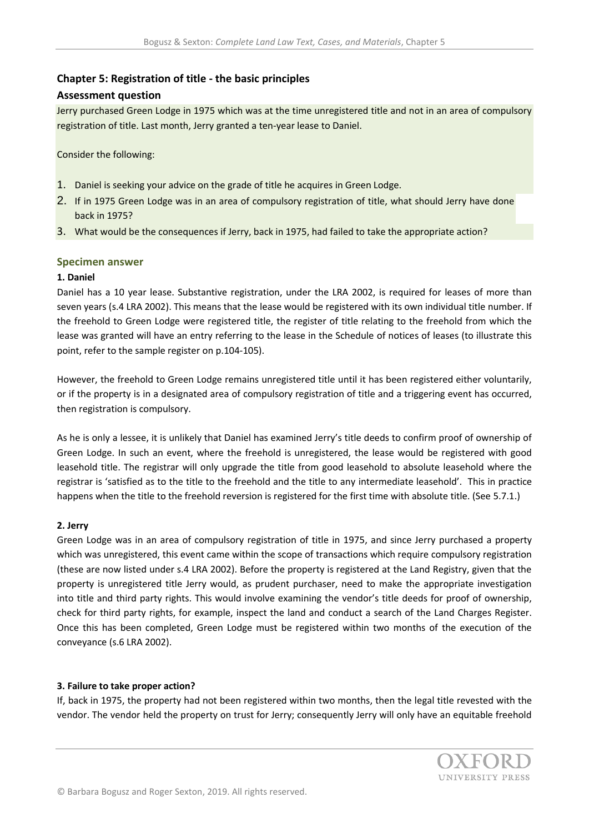# **Chapter 5: Registration of title - the basic principles**

## **Assessment question**

Jerry purchased Green Lodge in 1975 which was at the time unregistered title and not in an area of compulsory registration of title. Last month, Jerry granted a ten-year lease to Daniel.

Consider the following:

- 1. Daniel is seeking your advice on the grade of title he acquires in Green Lodge.
- 2. If in 1975 Green Lodge was in an area of compulsory registration of title, what should Jerry have done back in 1975?
- 3. What would be the consequences if Jerry, back in 1975, had failed to take the appropriate action?

## **Specimen answer**

## **1. Daniel**

Daniel has a 10 year lease. Substantive registration, under the LRA 2002, is required for leases of more than seven years (s.4 LRA 2002). This means that the lease would be registered with its own individual title number. If the freehold to Green Lodge were registered title, the register of title relating to the freehold from which the lease was granted will have an entry referring to the lease in the Schedule of notices of leases (to illustrate this point, refer to the sample register on p.104-105).

However, the freehold to Green Lodge remains unregistered title until it has been registered either voluntarily, or if the property is in a designated area of compulsory registration of title and a triggering event has occurred, then registration is compulsory.

As he is only a lessee, it is unlikely that Daniel has examined Jerry's title deeds to confirm proof of ownership of Green Lodge. In such an event, where the freehold is unregistered, the lease would be registered with good leasehold title. The registrar will only upgrade the title from good leasehold to absolute leasehold where the registrar is 'satisfied as to the title to the freehold and the title to any intermediate leasehold'. This in practice happens when the title to the freehold reversion is registered for the first time with absolute title. (See 5.7.1.)

#### **2. Jerry**

Green Lodge was in an area of compulsory registration of title in 1975, and since Jerry purchased a property which was unregistered, this event came within the scope of transactions which require compulsory registration (these are now listed under s.4 LRA 2002). Before the property is registered at the Land Registry, given that the property is unregistered title Jerry would, as prudent purchaser, need to make the appropriate investigation into title and third party rights. This would involve examining the vendor's title deeds for proof of ownership, check for third party rights, for example, inspect the land and conduct a search of the Land Charges Register. Once this has been completed, Green Lodge must be registered within two months of the execution of the conveyance (s.6 LRA 2002).

#### **3. Failure to take proper action?**

If, back in 1975, the property had not been registered within two months, then the legal title revested with the vendor. The vendor held the property on trust for Jerry; consequently Jerry will only have an equitable freehold